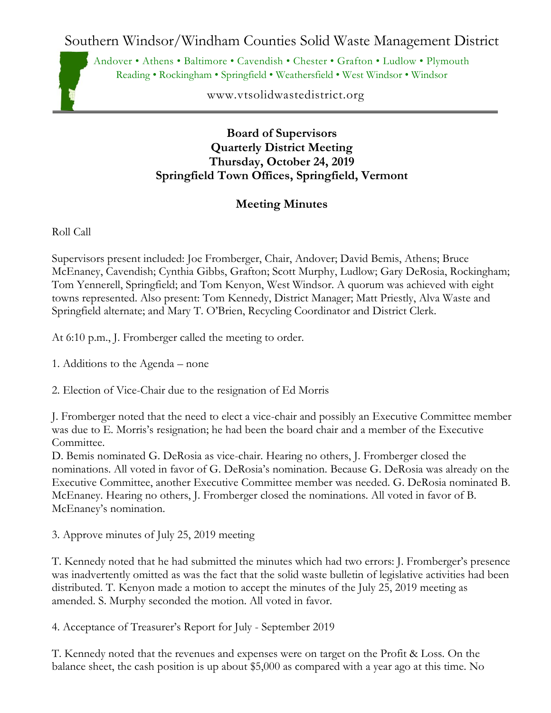Southern Windsor/Windham Counties Solid Waste Management District

Andover • Athens • Baltimore • Cavendish • Chester • Grafton • Ludlow • Plymouth Reading • Rockingham • Springfield • Weathersfield • West Windsor • Windsor

www.vtsolidwastedistrict.org

## **Board of Supervisors Quarterly District Meeting Thursday, October 24, 2019 Springfield Town Offices, Springfield, Vermont**

## **Meeting Minutes**

Roll Call

Supervisors present included: Joe Fromberger, Chair, Andover; David Bemis, Athens; Bruce McEnaney, Cavendish; Cynthia Gibbs, Grafton; Scott Murphy, Ludlow; Gary DeRosia, Rockingham; Tom Yennerell, Springfield; and Tom Kenyon, West Windsor. A quorum was achieved with eight towns represented. Also present: Tom Kennedy, District Manager; Matt Priestly, Alva Waste and Springfield alternate; and Mary T. O'Brien, Recycling Coordinator and District Clerk.

At 6:10 p.m., J. Fromberger called the meeting to order.

1. Additions to the Agenda – none

2. Election of Vice-Chair due to the resignation of Ed Morris

J. Fromberger noted that the need to elect a vice-chair and possibly an Executive Committee member was due to E. Morris's resignation; he had been the board chair and a member of the Executive Committee.

D. Bemis nominated G. DeRosia as vice-chair. Hearing no others, J. Fromberger closed the nominations. All voted in favor of G. DeRosia's nomination. Because G. DeRosia was already on the Executive Committee, another Executive Committee member was needed. G. DeRosia nominated B. McEnaney. Hearing no others, J. Fromberger closed the nominations. All voted in favor of B. McEnaney's nomination.

3. Approve minutes of July 25, 2019 meeting

T. Kennedy noted that he had submitted the minutes which had two errors: J. Fromberger's presence was inadvertently omitted as was the fact that the solid waste bulletin of legislative activities had been distributed. T. Kenyon made a motion to accept the minutes of the July 25, 2019 meeting as amended. S. Murphy seconded the motion. All voted in favor.

4. Acceptance of Treasurer's Report for July - September 2019

T. Kennedy noted that the revenues and expenses were on target on the Profit & Loss. On the balance sheet, the cash position is up about \$5,000 as compared with a year ago at this time. No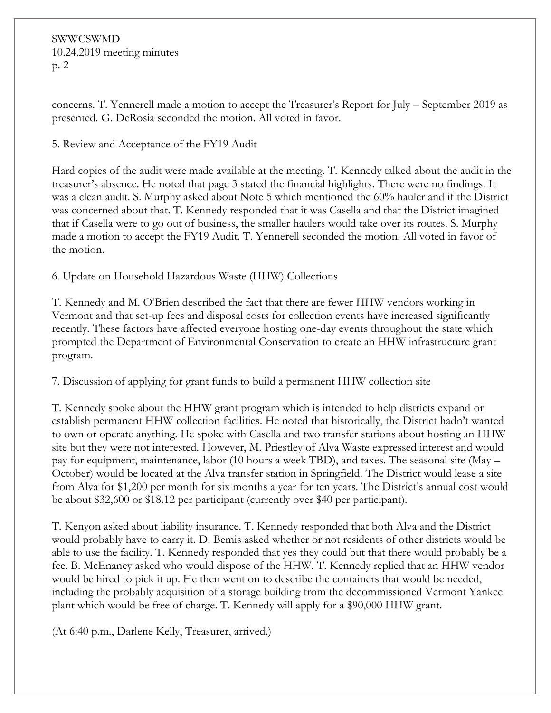SWWCSWMD 10.24.2019 meeting minutes p. 2

concerns. T. Yennerell made a motion to accept the Treasurer's Report for July – September 2019 as presented. G. DeRosia seconded the motion. All voted in favor.

5. Review and Acceptance of the FY19 Audit

Hard copies of the audit were made available at the meeting. T. Kennedy talked about the audit in the treasurer's absence. He noted that page 3 stated the financial highlights. There were no findings. It was a clean audit. S. Murphy asked about Note 5 which mentioned the 60% hauler and if the District was concerned about that. T. Kennedy responded that it was Casella and that the District imagined that if Casella were to go out of business, the smaller haulers would take over its routes. S. Murphy made a motion to accept the FY19 Audit. T. Yennerell seconded the motion. All voted in favor of the motion.

6. Update on Household Hazardous Waste (HHW) Collections

T. Kennedy and M. O'Brien described the fact that there are fewer HHW vendors working in Vermont and that set-up fees and disposal costs for collection events have increased significantly recently. These factors have affected everyone hosting one-day events throughout the state which prompted the Department of Environmental Conservation to create an HHW infrastructure grant program.

7. Discussion of applying for grant funds to build a permanent HHW collection site

T. Kennedy spoke about the HHW grant program which is intended to help districts expand or establish permanent HHW collection facilities. He noted that historically, the District hadn't wanted to own or operate anything. He spoke with Casella and two transfer stations about hosting an HHW site but they were not interested. However, M. Priestley of Alva Waste expressed interest and would pay for equipment, maintenance, labor (10 hours a week TBD), and taxes. The seasonal site (May – October) would be located at the Alva transfer station in Springfield. The District would lease a site from Alva for \$1,200 per month for six months a year for ten years. The District's annual cost would be about \$32,600 or \$18.12 per participant (currently over \$40 per participant).

T. Kenyon asked about liability insurance. T. Kennedy responded that both Alva and the District would probably have to carry it. D. Bemis asked whether or not residents of other districts would be able to use the facility. T. Kennedy responded that yes they could but that there would probably be a fee. B. McEnaney asked who would dispose of the HHW. T. Kennedy replied that an HHW vendor would be hired to pick it up. He then went on to describe the containers that would be needed, including the probably acquisition of a storage building from the decommissioned Vermont Yankee plant which would be free of charge. T. Kennedy will apply for a \$90,000 HHW grant.

(At 6:40 p.m., Darlene Kelly, Treasurer, arrived.)